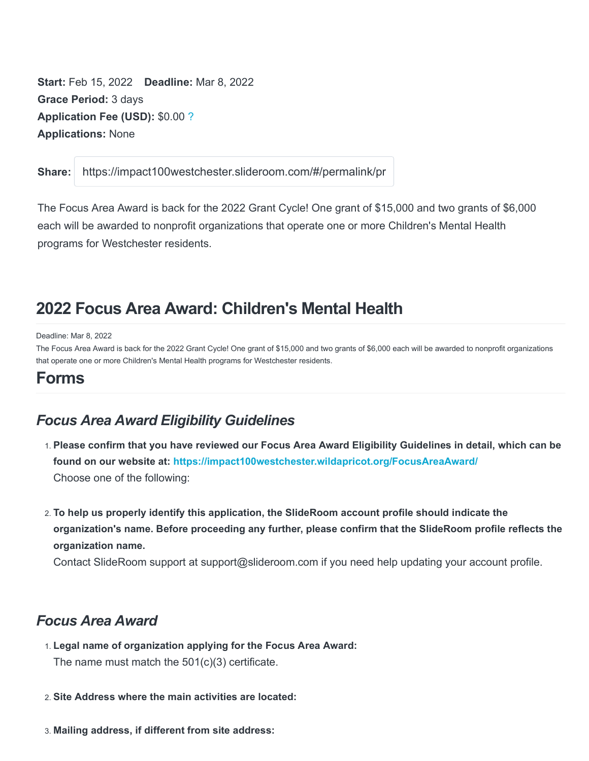Start: Feb 15, 2022 Deadline: Mar 8, 2022 Grace Period: 3 days Application Fee (USD): \$0.00 ? Applications: None

Share: https://impact100westchester.slideroom.com/#/permalink/program

The Focus Area Award is back for the 2022 Grant Cycle! One grant of \$15,000 and two grants of \$6,000 each will be awarded to nonprofit organizations that operate one or more Children's Mental Health programs for Westchester residents.

# 2022 Focus Area Award: Children's Mental Health

Deadline: Mar 8, 2022

The Focus Area Award is back for the 2022 Grant Cycle! One grant of \$15,000 and two grants of \$6,000 each will be awarded to nonprofit organizations that operate one or more Children's Mental Health programs for Westchester residents.

### Forms

## Focus Area Award Eligibility Guidelines

- 1. Please confirm that you have reviewed our Focus Area Award Eligibility Guidelines in detail, which can be found on our website at: https://impact100westchester.wildapricot.org/FocusAreaAward/ Choose one of the following:
- 2. To help us properly identify this application, the SlideRoom account profile should indicate the organization's name. Before proceeding any further, please confirm that the SlideRoom profile reflects the organization name.

Contact SlideRoom support at support@slideroom.com if you need help updating your account profile.

### Focus Area Award

- 1. Legal name of organization applying for the Focus Area Award: The name must match the 501(c)(3) certificate.
- 2. Site Address where the main activities are located:
- 3. Mailing address, if different from site address: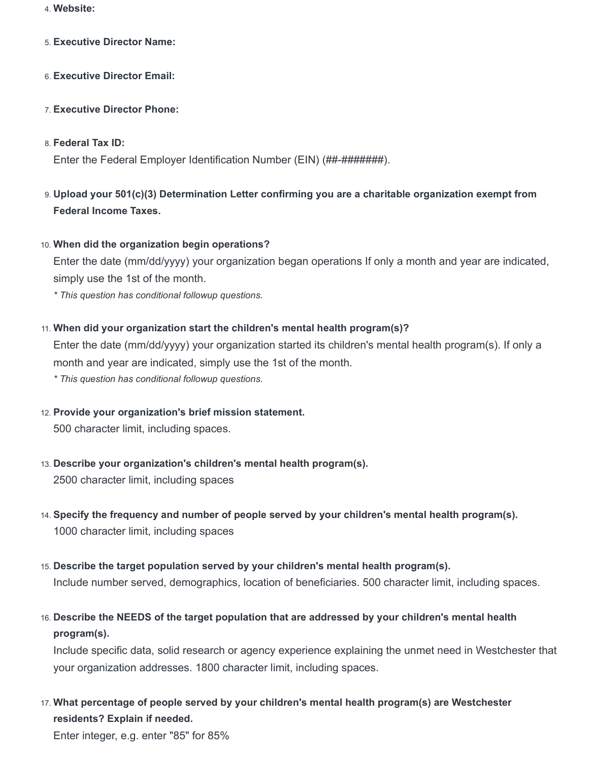- 4. Website:
- 5. Executive Director Name:
- 6. Executive Director Email:
- 7. Executive Director Phone:
- 8. Federal Tax ID:

Enter the Federal Employer Identification Number (EIN) (##-#########).

- 9. Upload your 501(c)(3) Determination Letter confirming you are a charitable organization exempt from Federal Income Taxes.
- 10. When did the organization begin operations?

Enter the date (mm/dd/yyyy) your organization began operations If only a month and year are indicated, simply use the 1st of the month.

\* This question has conditional followup questions.

11. When did your organization start the children's mental health program(s)?

Enter the date (mm/dd/yyyy) your organization started its children's mental health program(s). If only a month and year are indicated, simply use the 1st of the month.

- \* This question has conditional followup questions.
- 12. Provide your organization's brief mission statement. 500 character limit, including spaces.
- 13. Describe your organization's children's mental health program(s). 2500 character limit, including spaces
- 14. Specify the frequency and number of people served by your children's mental health program(s). 1000 character limit, including spaces
- 15. Describe the target population served by your children's mental health program(s). Include number served, demographics, location of beneficiaries. 500 character limit, including spaces.
- 16. Describe the NEEDS of the target population that are addressed by your children's mental health program(s).

Include specific data, solid research or agency experience explaining the unmet need in Westchester that your organization addresses. 1800 character limit, including spaces.

17. What percentage of people served by your children's mental health program(s) are Westchester residents? Explain if needed.

Enter integer, e.g. enter "85" for 85%